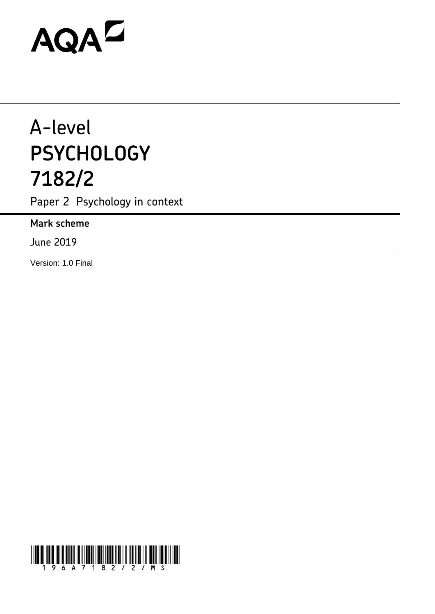# AQAZ

## A-level **PSYCHOLOGY 7182/2**

Paper 2 Psychology in context

**Mark scheme**

June 2019

Version: 1.0 Final

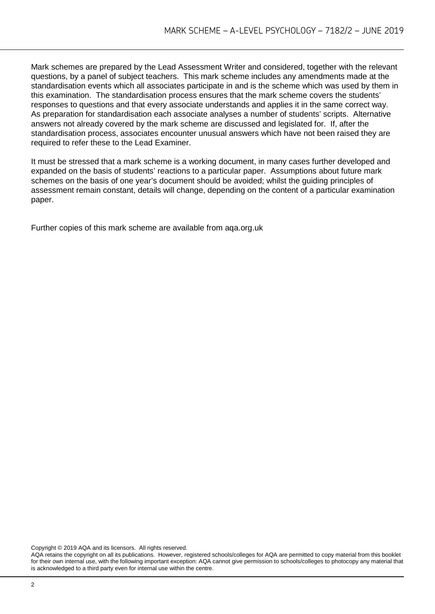Mark schemes are prepared by the Lead Assessment Writer and considered, together with the relevant questions, by a panel of subject teachers. This mark scheme includes any amendments made at the standardisation events which all associates participate in and is the scheme which was used by them in this examination. The standardisation process ensures that the mark scheme covers the students' responses to questions and that every associate understands and applies it in the same correct way. As preparation for standardisation each associate analyses a number of students' scripts. Alternative answers not already covered by the mark scheme are discussed and legislated for. If, after the standardisation process, associates encounter unusual answers which have not been raised they are required to refer these to the Lead Examiner.

It must be stressed that a mark scheme is a working document, in many cases further developed and expanded on the basis of students' reactions to a particular paper. Assumptions about future mark schemes on the basis of one year's document should be avoided; whilst the guiding principles of assessment remain constant, details will change, depending on the content of a particular examination paper.

Further copies of this mark scheme are available from aqa.org.uk

Copyright © 2019 AQA and its licensors. All rights reserved.

AQA retains the copyright on all its publications. However, registered schools/colleges for AQA are permitted to copy material from this booklet for their own internal use, with the following important exception: AQA cannot give permission to schools/colleges to photocopy any material that is acknowledged to a third party even for internal use within the centre.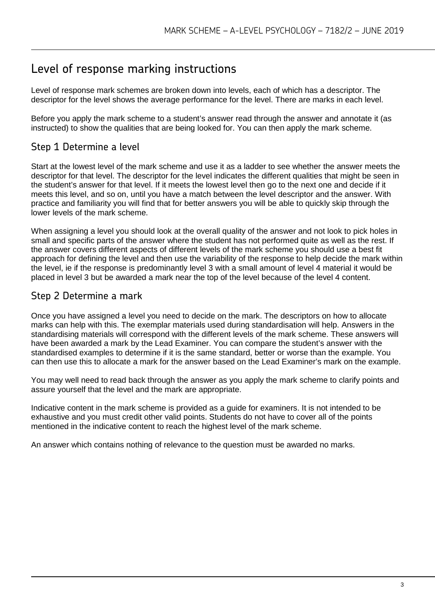### Level of response marking instructions

Level of response mark schemes are broken down into levels, each of which has a descriptor. The descriptor for the level shows the average performance for the level. There are marks in each level.

Before you apply the mark scheme to a student's answer read through the answer and annotate it (as instructed) to show the qualities that are being looked for. You can then apply the mark scheme.

#### Step 1 Determine a level

Start at the lowest level of the mark scheme and use it as a ladder to see whether the answer meets the descriptor for that level. The descriptor for the level indicates the different qualities that might be seen in the student's answer for that level. If it meets the lowest level then go to the next one and decide if it meets this level, and so on, until you have a match between the level descriptor and the answer. With practice and familiarity you will find that for better answers you will be able to quickly skip through the lower levels of the mark scheme.

When assigning a level you should look at the overall quality of the answer and not look to pick holes in small and specific parts of the answer where the student has not performed quite as well as the rest. If the answer covers different aspects of different levels of the mark scheme you should use a best fit approach for defining the level and then use the variability of the response to help decide the mark within the level, ie if the response is predominantly level 3 with a small amount of level 4 material it would be placed in level 3 but be awarded a mark near the top of the level because of the level 4 content.

#### Step 2 Determine a mark

Once you have assigned a level you need to decide on the mark. The descriptors on how to allocate marks can help with this. The exemplar materials used during standardisation will help. Answers in the standardising materials will correspond with the different levels of the mark scheme. These answers will have been awarded a mark by the Lead Examiner. You can compare the student's answer with the standardised examples to determine if it is the same standard, better or worse than the example. You can then use this to allocate a mark for the answer based on the Lead Examiner's mark on the example.

You may well need to read back through the answer as you apply the mark scheme to clarify points and assure yourself that the level and the mark are appropriate.

Indicative content in the mark scheme is provided as a guide for examiners. It is not intended to be exhaustive and you must credit other valid points. Students do not have to cover all of the points mentioned in the indicative content to reach the highest level of the mark scheme.

An answer which contains nothing of relevance to the question must be awarded no marks.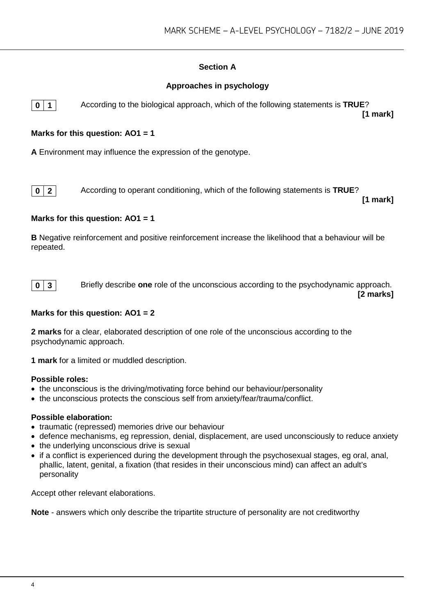#### **Section A**

#### **Approaches in psychology**



**0 1** According to the biological approach, which of the following statements is **TRUE**? **[1 mark]**

#### **Marks for this question: AO1 = 1**

**A** Environment may influence the expression of the genotype.



**0 2** According to operant conditioning, which of the following statements is **TRUE**?

**[1 mark]**

#### **Marks for this question: AO1 = 1**

**B** Negative reinforcement and positive reinforcement increase the likelihood that a behaviour will be repeated.



**0 3** Briefly describe **one** role of the unconscious according to the psychodynamic approach.

**[2 marks]**

#### **Marks for this question: AO1 = 2**

**2 marks** for a clear, elaborated description of one role of the unconscious according to the psychodynamic approach.

**1 mark** for a limited or muddled description.

#### **Possible roles:**

- the unconscious is the driving/motivating force behind our behaviour/personality
- the unconscious protects the conscious self from anxiety/fear/trauma/conflict.

#### **Possible elaboration:**

- traumatic (repressed) memories drive our behaviour
- defence mechanisms, eg repression, denial, displacement, are used unconsciously to reduce anxiety
- the underlying unconscious drive is sexual
- if a conflict is experienced during the development through the psychosexual stages, eg oral, anal, phallic, latent, genital, a fixation (that resides in their unconscious mind) can affect an adult's personality

Accept other relevant elaborations.

**Note** - answers which only describe the tripartite structure of personality are not creditworthy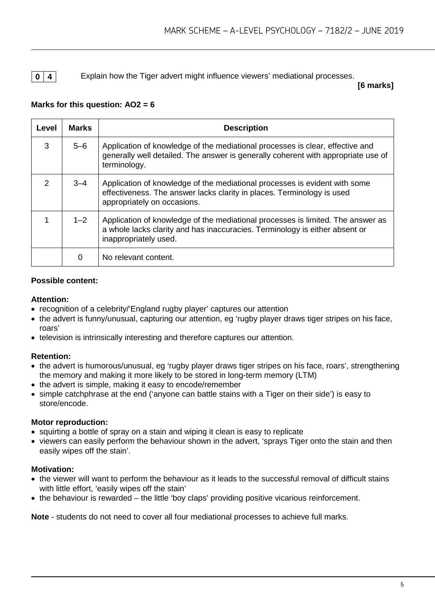#### **0 4** Explain how the Tiger advert might influence viewers' mediational processes.

**[6 marks]**

#### **Marks for this question: AO2 = 6**

| Level          | <b>Marks</b> | <b>Description</b>                                                                                                                                                                      |
|----------------|--------------|-----------------------------------------------------------------------------------------------------------------------------------------------------------------------------------------|
| 3              | $5 - 6$      | Application of knowledge of the mediational processes is clear, effective and<br>generally well detailed. The answer is generally coherent with appropriate use of<br>terminology.      |
| $\mathfrak{D}$ | $3 - 4$      | Application of knowledge of the mediational processes is evident with some<br>effectiveness. The answer lacks clarity in places. Terminology is used<br>appropriately on occasions.     |
|                | $1 - 2$      | Application of knowledge of the mediational processes is limited. The answer as<br>a whole lacks clarity and has inaccuracies. Terminology is either absent or<br>inappropriately used. |
|                | 0            | No relevant content.                                                                                                                                                                    |

#### **Possible content:**

#### **Attention:**

- recognition of a celebrity/'England rugby player' captures our attention
- the advert is funny/unusual, capturing our attention, eg 'rugby player draws tiger stripes on his face, roars'
- television is intrinsically interesting and therefore captures our attention.

#### **Retention:**

- the advert is humorous/unusual, eg 'rugby player draws tiger stripes on his face, roars', strengthening the memory and making it more likely to be stored in long-term memory (LTM)
- the advert is simple, making it easy to encode/remember
- simple catchphrase at the end ('anyone can battle stains with a Tiger on their side') is easy to store/encode.

#### **Motor reproduction:**

- squirting a bottle of spray on a stain and wiping it clean is easy to replicate
- viewers can easily perform the behaviour shown in the advert, 'sprays Tiger onto the stain and then easily wipes off the stain'.

#### **Motivation:**

- the viewer will want to perform the behaviour as it leads to the successful removal of difficult stains with little effort, 'easily wipes off the stain'
- the behaviour is rewarded the little 'boy claps' providing positive vicarious reinforcement.

**Note** - students do not need to cover all four mediational processes to achieve full marks.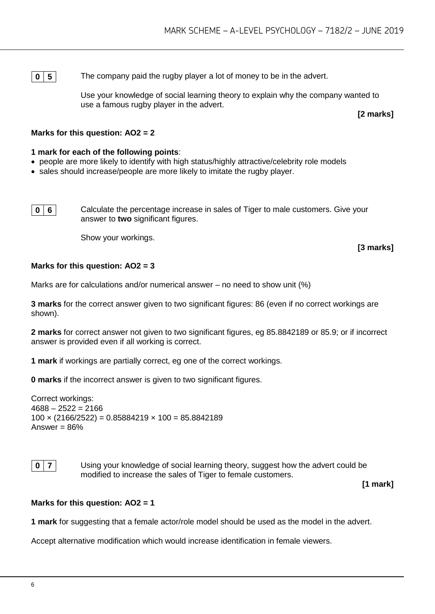**0 5** The company paid the rugby player a lot of money to be in the advert.

Use your knowledge of social learning theory to explain why the company wanted to use a famous rugby player in the advert.

**[2 marks]**

#### **Marks for this question: AO2 = 2**

#### **1 mark for each of the following points**:

- people are more likely to identify with high status/highly attractive/celebrity role models
- sales should increase/people are more likely to imitate the rugby player.

**0 6** Calculate the percentage increase in sales of Tiger to male customers. Give your answer to **two** significant figures.

Show your workings.

**[3 marks]**

#### **Marks for this question: AO2 = 3**

Marks are for calculations and/or numerical answer – no need to show unit (%)

**3 marks** for the correct answer given to two significant figures: 86 (even if no correct workings are shown).

**2 marks** for correct answer not given to two significant figures, eg 85.8842189 or 85.9; or if incorrect answer is provided even if all working is correct.

**1 mark** if workings are partially correct, eg one of the correct workings.

**0 marks** if the incorrect answer is given to two significant figures.

Correct workings:  $4688 - 2522 = 2166$  $100 \times (2166/2522) = 0.85884219 \times 100 = 85.8842189$ Answer =  $86%$ 

#### **0** | **7** | Using your knowledge of social learning theory, suggest how the advert could be modified to increase the sales of Tiger to female customers.

**[1 mark]**

#### **Marks for this question: AO2 = 1**

**1 mark** for suggesting that a female actor/role model should be used as the model in the advert.

Accept alternative modification which would increase identification in female viewers.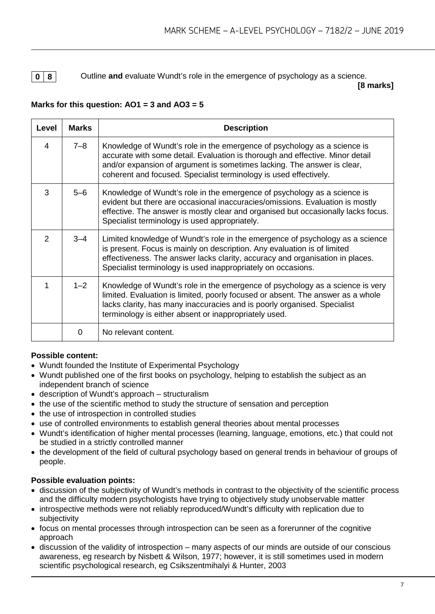**0 8** Outline **and** evaluate Wundt's role in the emergence of psychology as a science.

**[8 marks]**

#### **Marks for this question: AO1 = 3 and AO3 = 5**

| Level          | <b>Marks</b> | <b>Description</b>                                                                                                                                                                                                                                                                                         |
|----------------|--------------|------------------------------------------------------------------------------------------------------------------------------------------------------------------------------------------------------------------------------------------------------------------------------------------------------------|
| $\overline{4}$ | $7 - 8$      | Knowledge of Wundt's role in the emergence of psychology as a science is<br>accurate with some detail. Evaluation is thorough and effective. Minor detail<br>and/or expansion of argument is sometimes lacking. The answer is clear,<br>coherent and focused. Specialist terminology is used effectively.  |
| 3              | $5-6$        | Knowledge of Wundt's role in the emergence of psychology as a science is<br>evident but there are occasional inaccuracies/omissions. Evaluation is mostly<br>effective. The answer is mostly clear and organised but occasionally lacks focus.<br>Specialist terminology is used appropriately.            |
| 2              | $3 - 4$      | Limited knowledge of Wundt's role in the emergence of psychology as a science<br>is present. Focus is mainly on description. Any evaluation is of limited<br>effectiveness. The answer lacks clarity, accuracy and organisation in places.<br>Specialist terminology is used inappropriately on occasions. |
| 1              | $1 - 2$      | Knowledge of Wundt's role in the emergence of psychology as a science is very<br>limited. Evaluation is limited, poorly focused or absent. The answer as a whole<br>lacks clarity, has many inaccuracies and is poorly organised. Specialist<br>terminology is either absent or inappropriately used.      |
|                | $\Omega$     | No relevant content.                                                                                                                                                                                                                                                                                       |

#### **Possible content:**

- Wundt founded the Institute of Experimental Psychology
- Wundt published one of the first books on psychology, helping to establish the subject as an independent branch of science
- description of Wundt's approach structuralism
- the use of the scientific method to study the structure of sensation and perception
- the use of introspection in controlled studies
- use of controlled environments to establish general theories about mental processes
- Wundt's identification of higher mental processes (learning, language, emotions, etc.) that could not be studied in a strictly controlled manner
- the development of the field of cultural psychology based on general trends in behaviour of groups of people.

#### **Possible evaluation points:**

- discussion of the subjectivity of Wundt's methods in contrast to the objectivity of the scientific process and the difficulty modern psychologists have trying to objectively study unobservable matter
- introspective methods were not reliably reproduced/Wundt's difficulty with replication due to subjectivity
- focus on mental processes through introspection can be seen as a forerunner of the cognitive approach
- discussion of the validity of introspection many aspects of our minds are outside of our conscious awareness, eg research by Nisbett & Wilson, 1977; however, it is still sometimes used in modern scientific psychological research, eg Csikszentmihalyi & Hunter, 2003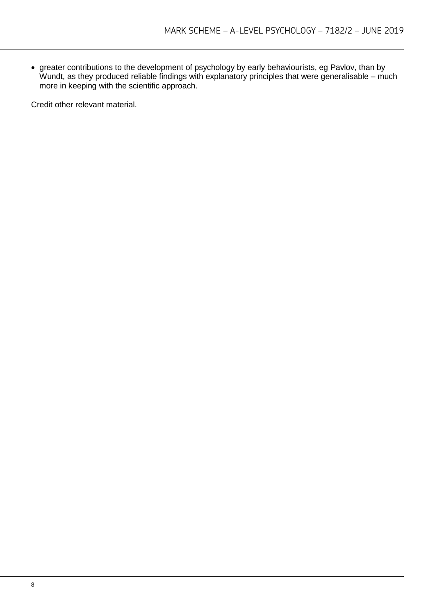• greater contributions to the development of psychology by early behaviourists, eg Pavlov, than by Wundt, as they produced reliable findings with explanatory principles that were generalisable – much more in keeping with the scientific approach.

Credit other relevant material.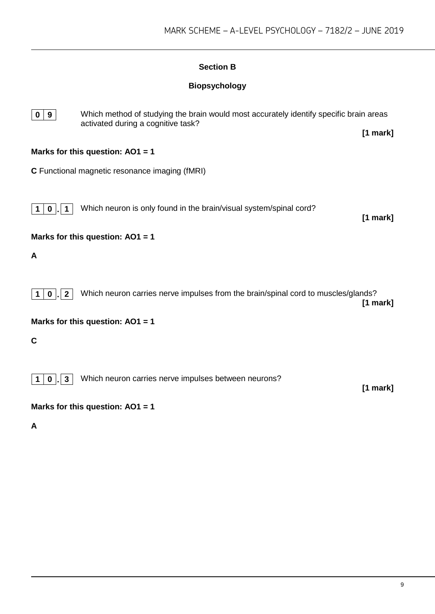#### **Section B**

#### **Biopsychology**



**0 9** Which method of studying the brain would most accurately identify specific brain areas activated during a cognitive task? **[1 mark]**

#### **Marks for this question: AO1 = 1**

**C** Functional magnetic resonance imaging (fMRI)

**1 0 1 Which neuron is only found in the brain/visual system/spinal cord?** 

**[1 mark]**

**Marks for this question: AO1 = 1**

**A** 



**Marks for this question: AO1 = 1**

**C**

**1 0 . 3** Which neuron carries nerve impulses between neurons?

**[1 mark]**

#### **Marks for this question: AO1 = 1**

**A**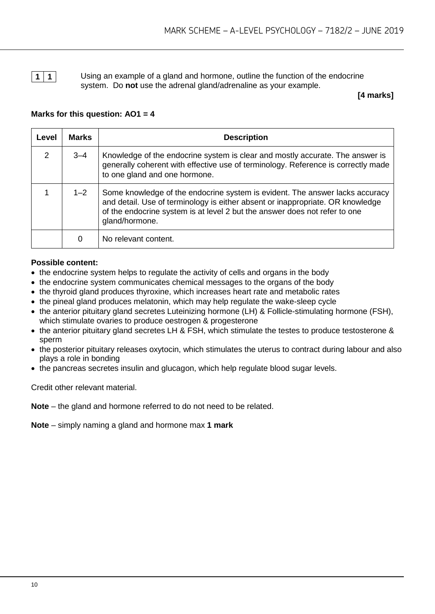**1 1 1** Using an example of a gland and hormone, outline the function of the endocrine system. Do **not** use the adrenal gland/adrenaline as your example.

**[4 marks]**

#### **Marks for this question: AO1 = 4**

| Level         | <b>Marks</b> | <b>Description</b>                                                                                                                                                                                                                                             |
|---------------|--------------|----------------------------------------------------------------------------------------------------------------------------------------------------------------------------------------------------------------------------------------------------------------|
| $\mathcal{P}$ | $3 - 4$      | Knowledge of the endocrine system is clear and mostly accurate. The answer is<br>generally coherent with effective use of terminology. Reference is correctly made<br>to one gland and one hormone.                                                            |
|               | $1 - 2$      | Some knowledge of the endocrine system is evident. The answer lacks accuracy<br>and detail. Use of terminology is either absent or inappropriate. OR knowledge<br>of the endocrine system is at level 2 but the answer does not refer to one<br>gland/hormone. |
|               | 0            | No relevant content.                                                                                                                                                                                                                                           |

#### **Possible content:**

- the endocrine system helps to regulate the activity of cells and organs in the body
- the endocrine system communicates chemical messages to the organs of the body
- the thyroid gland produces thyroxine, which increases heart rate and metabolic rates
- the pineal gland produces melatonin, which may help regulate the wake-sleep cycle
- the anterior pituitary gland secretes Luteinizing hormone (LH) & Follicle-stimulating hormone (FSH), which stimulate ovaries to produce oestrogen & progesterone
- the anterior pituitary gland secretes LH & FSH, which stimulate the testes to produce testosterone & sperm
- the posterior pituitary releases oxytocin, which stimulates the uterus to contract during labour and also plays a role in bonding
- the pancreas secretes insulin and glucagon, which help regulate blood sugar levels.

Credit other relevant material.

**Note** – the gland and hormone referred to do not need to be related.

**Note** – simply naming a gland and hormone max **1 mark**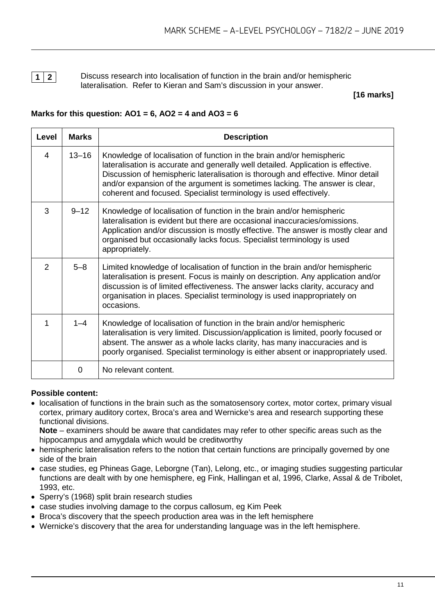**1 2** Discuss research into localisation of function in the brain and/or hemispheric lateralisation. Refer to Kieran and Sam's discussion in your answer.

#### **[16 marks]**

#### **Marks for this question: AO1 = 6, AO2 = 4 and AO3 = 6**

| Level         | <b>Marks</b> | <b>Description</b>                                                                                                                                                                                                                                                                                                                                                                                 |
|---------------|--------------|----------------------------------------------------------------------------------------------------------------------------------------------------------------------------------------------------------------------------------------------------------------------------------------------------------------------------------------------------------------------------------------------------|
| 4             | $13 - 16$    | Knowledge of localisation of function in the brain and/or hemispheric<br>lateralisation is accurate and generally well detailed. Application is effective.<br>Discussion of hemispheric lateralisation is thorough and effective. Minor detail<br>and/or expansion of the argument is sometimes lacking. The answer is clear,<br>coherent and focused. Specialist terminology is used effectively. |
| 3             | $9 - 12$     | Knowledge of localisation of function in the brain and/or hemispheric<br>lateralisation is evident but there are occasional inaccuracies/omissions.<br>Application and/or discussion is mostly effective. The answer is mostly clear and<br>organised but occasionally lacks focus. Specialist terminology is used<br>appropriately.                                                               |
| $\mathcal{P}$ | $5 - 8$      | Limited knowledge of localisation of function in the brain and/or hemispheric<br>lateralisation is present. Focus is mainly on description. Any application and/or<br>discussion is of limited effectiveness. The answer lacks clarity, accuracy and<br>organisation in places. Specialist terminology is used inappropriately on<br>occasions.                                                    |
| 1             | $1 - 4$      | Knowledge of localisation of function in the brain and/or hemispheric<br>lateralisation is very limited. Discussion/application is limited, poorly focused or<br>absent. The answer as a whole lacks clarity, has many inaccuracies and is<br>poorly organised. Specialist terminology is either absent or inappropriately used.                                                                   |
|               | 0            | No relevant content.                                                                                                                                                                                                                                                                                                                                                                               |

#### **Possible content:**

• localisation of functions in the brain such as the somatosensory cortex, motor cortex, primary visual cortex, primary auditory cortex, Broca's area and Wernicke's area and research supporting these functional divisions.

**Note** – examiners should be aware that candidates may refer to other specific areas such as the hippocampus and amygdala which would be creditworthy

- hemispheric lateralisation refers to the notion that certain functions are principally governed by one side of the brain
- case studies, eg Phineas Gage, Leborgne (Tan), Lelong, etc., or imaging studies suggesting particular functions are dealt with by one hemisphere, eg Fink, Hallingan et al, 1996, Clarke, Assal & de Tribolet, 1993, etc.
- Sperry's (1968) split brain research studies
- case studies involving damage to the corpus callosum, eg Kim Peek
- Broca's discovery that the speech production area was in the left hemisphere
- Wernicke's discovery that the area for understanding language was in the left hemisphere.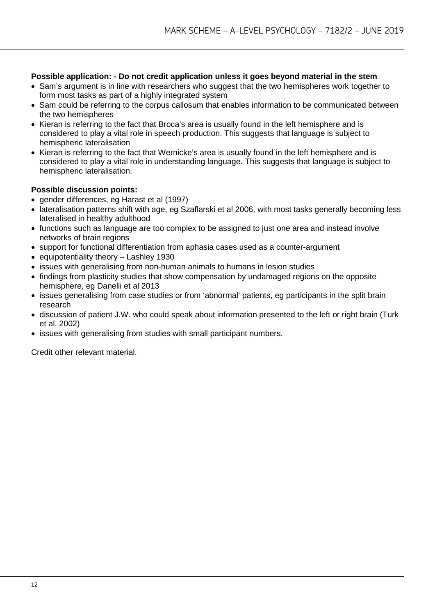#### **Possible application: - Do not credit application unless it goes beyond material in the stem**

- Sam's argument is in line with researchers who suggest that the two hemispheres work together to form most tasks as part of a highly integrated system
- Sam could be referring to the corpus callosum that enables information to be communicated between the two hemispheres
- Kieran is referring to the fact that Broca's area is usually found in the left hemisphere and is considered to play a vital role in speech production. This suggests that language is subject to hemispheric lateralisation
- Kieran is referring to the fact that Wernicke's area is usually found in the left hemisphere and is considered to play a vital role in understanding language. This suggests that language is subject to hemispheric lateralisation.

#### **Possible discussion points:**

- gender differences, eg Harast et al (1997)
- lateralisation patterns shift with age, eg Szaflarski et al 2006, with most tasks generally becoming less lateralised in healthy adulthood
- functions such as language are too complex to be assigned to just one area and instead involve networks of brain regions
- support for functional differentiation from aphasia cases used as a counter-argument
- equipotentiality theory Lashley 1930
- issues with generalising from non-human animals to humans in lesion studies
- findings from plasticity studies that show compensation by undamaged regions on the opposite hemisphere, eg Danelli et al 2013
- issues generalising from case studies or from 'abnormal' patients, eg participants in the split brain research
- discussion of patient J.W. who could speak about information presented to the left or right brain (Turk et al, 2002)
- issues with generalising from studies with small participant numbers.

Credit other relevant material.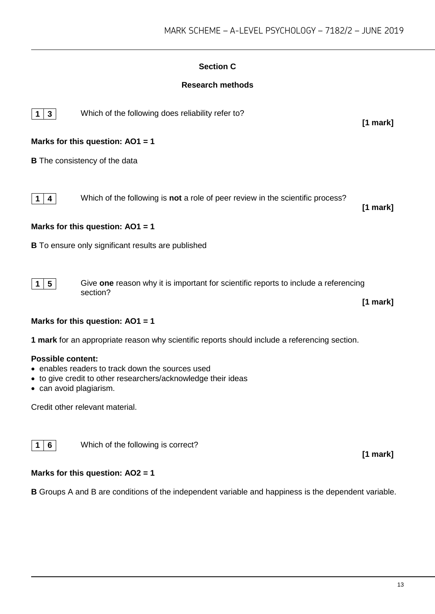#### **Section C**

#### **Research methods**



**1 3** Which of the following does reliability refer to?

#### **Marks for this question: AO1 = 1**

**B** The consistency of the data



**1 4** Which of the following is **not** a role of peer review in the scientific process?

**[1 mark]**

**[1 mark]**

#### **Marks for this question: AO1 = 1**

**B** To ensure only significant results are published

**1 5** Give **one** reason why it is important for scientific reports to include a referencing section?

**[1 mark]**

**[1 mark]**

#### **Marks for this question: AO1 = 1**

**1 mark** for an appropriate reason why scientific reports should include a referencing section.

#### **Possible content:**

- enables readers to track down the sources used
- to give credit to other researchers/acknowledge their ideas
- can avoid plagiarism.

Credit other relevant material.

**1 6** Which of the following is correct?

#### **Marks for this question: AO2 = 1**

**B** Groups A and B are conditions of the independent variable and happiness is the dependent variable.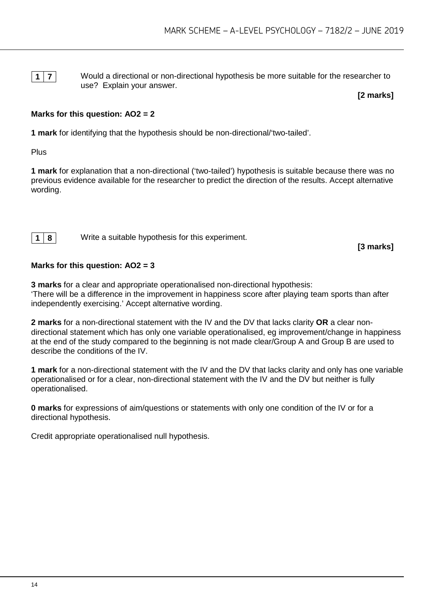**1 7** Would a directional or non-directional hypothesis be more suitable for the researcher to use? Explain your answer.

**[2 marks]**

#### **Marks for this question: AO2 = 2**

**1 mark** for identifying that the hypothesis should be non-directional/'two-tailed'.

**Plus** 

**1 mark** for explanation that a non-directional ('two-tailed') hypothesis is suitable because there was no previous evidence available for the researcher to predict the direction of the results. Accept alternative wording.

**1 8** Write a suitable hypothesis for this experiment.

**[3 marks]**

#### **Marks for this question: AO2 = 3**

**3 marks** for a clear and appropriate operationalised non-directional hypothesis: 'There will be a difference in the improvement in happiness score after playing team sports than after independently exercising.' Accept alternative wording.

**2 marks** for a non-directional statement with the IV and the DV that lacks clarity **OR** a clear nondirectional statement which has only one variable operationalised, eg improvement/change in happiness at the end of the study compared to the beginning is not made clear/Group A and Group B are used to describe the conditions of the IV.

**1 mark** for a non-directional statement with the IV and the DV that lacks clarity and only has one variable operationalised or for a clear, non-directional statement with the IV and the DV but neither is fully operationalised.

**0 marks** for expressions of aim/questions or statements with only one condition of the IV or for a directional hypothesis.

Credit appropriate operationalised null hypothesis.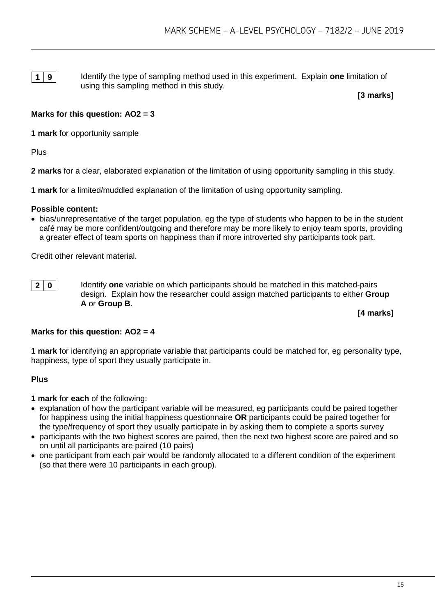**1 9** Identify the type of sampling method used in this experiment. Explain **one** limitation of using this sampling method in this study.

**[3 marks]**

#### **Marks for this question: AO2 = 3**

**1 mark** for opportunity sample

Plus

**2 marks** for a clear, elaborated explanation of the limitation of using opportunity sampling in this study.

**1 mark** for a limited/muddled explanation of the limitation of using opportunity sampling.

#### **Possible content:**

• bias/unrepresentative of the target population, eg the type of students who happen to be in the student café may be more confident/outgoing and therefore may be more likely to enjoy team sports, providing a greater effect of team sports on happiness than if more introverted shy participants took part.

Credit other relevant material.

**2 0 IDU** Identify **one** variable on which participants should be matched in this matched-pairs design. Explain how the researcher could assign matched participants to either **Group A** or **Group B**.

**[4 marks]**

#### **Marks for this question: AO2 = 4**

**1 mark** for identifying an appropriate variable that participants could be matched for, eg personality type, happiness, type of sport they usually participate in.

#### **Plus**

- **1 mark** for **each** of the following:
- explanation of how the participant variable will be measured, eg participants could be paired together for happiness using the initial happiness questionnaire **OR** participants could be paired together for the type/frequency of sport they usually participate in by asking them to complete a sports survey
- participants with the two highest scores are paired, then the next two highest score are paired and so on until all participants are paired (10 pairs)
- one participant from each pair would be randomly allocated to a different condition of the experiment (so that there were 10 participants in each group).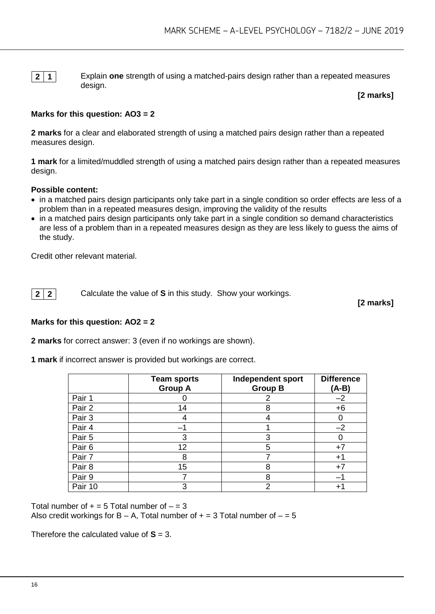**2 1** Explain **one** strength of using a matched-pairs design rather than a repeated measures design.

**[2 marks]**

#### **Marks for this question: AO3 = 2**

**2 marks** for a clear and elaborated strength of using a matched pairs design rather than a repeated measures design.

**1 mark** for a limited/muddled strength of using a matched pairs design rather than a repeated measures design.

#### **Possible content:**

- in a matched pairs design participants only take part in a single condition so order effects are less of a problem than in a repeated measures design, improving the validity of the results
- in a matched pairs design participants only take part in a single condition so demand characteristics are less of a problem than in a repeated measures design as they are less likely to guess the aims of the study.

Credit other relevant material.

**2 2 Calculate the value of <b>S** in this study. Show your workings.

**[2 marks]**

#### **Marks for this question: AO2 = 2**

**2 marks** for correct answer: 3 (even if no workings are shown).

**1 mark** if incorrect answer is provided but workings are correct.

|         | <b>Team sports</b><br><b>Group A</b> | <b>Independent sport</b><br><b>Group B</b> | <b>Difference</b><br>(A-B) |
|---------|--------------------------------------|--------------------------------------------|----------------------------|
| Pair 1  |                                      |                                            | $-2$                       |
| Pair 2  | 14                                   | 8                                          | $+6$                       |
| Pair 3  |                                      |                                            | O                          |
| Pair 4  |                                      |                                            | $-2$                       |
| Pair 5  | 3                                    | 3                                          |                            |
| Pair 6  | 12                                   | 5                                          | $+7$                       |
| Pair 7  | 8                                    |                                            | $+1$                       |
| Pair 8  | 15                                   | 8                                          | $+7$                       |
| Pair 9  |                                      | 8                                          |                            |
| Pair 10 |                                      | $\overline{2}$                             | +'                         |

Total number of  $+ = 5$  Total number of  $- = 3$ Also credit workings for  $B - A$ , Total number of  $+ = 3$  Total number of  $- = 5$ 

Therefore the calculated value of  $S = 3$ .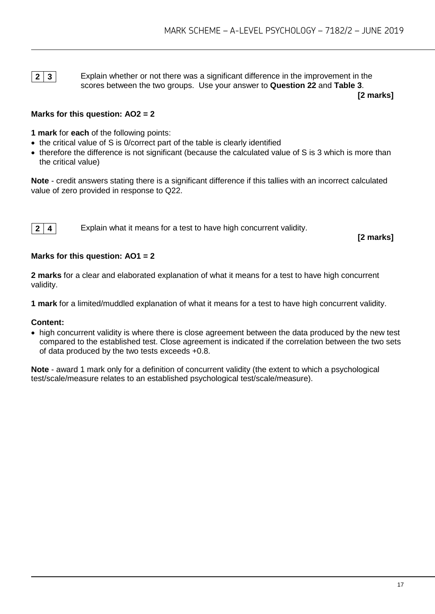**2 3** Explain whether or not there was a significant difference in the improvement in the scores between the two groups. Use your answer to **Question 22** and **Table 3**.

**[2 marks]**

#### **Marks for this question: AO2 = 2**

**1 mark** for **each** of the following points:

- the critical value of S is 0/correct part of the table is clearly identified
- therefore the difference is not significant (because the calculated value of S is 3 which is more than the critical value)

**Note** - credit answers stating there is a significant difference if this tallies with an incorrect calculated value of zero provided in response to Q22.

**2 4** Explain what it means for a test to have high concurrent validity.

**[2 marks]**

#### **Marks for this question: AO1 = 2**

**2 marks** for a clear and elaborated explanation of what it means for a test to have high concurrent validity.

**1 mark** for a limited/muddled explanation of what it means for a test to have high concurrent validity.

#### **Content:**

• high concurrent validity is where there is close agreement between the data produced by the new test compared to the established test. Close agreement is indicated if the correlation between the two sets of data produced by the two tests exceeds +0.8.

**Note** - award 1 mark only for a definition of concurrent validity (the extent to which a psychological test/scale/measure relates to an established psychological test/scale/measure).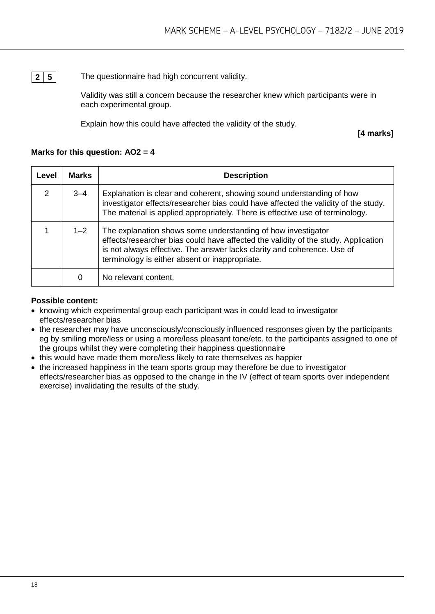**2 5** The questionnaire had high concurrent validity.

Validity was still a concern because the researcher knew which participants were in each experimental group.

Explain how this could have affected the validity of the study.

**[4 marks]**

#### **Marks for this question: AO2 = 4**

| Level | <b>Marks</b> | <b>Description</b>                                                                                                                                                                                                                                                              |
|-------|--------------|---------------------------------------------------------------------------------------------------------------------------------------------------------------------------------------------------------------------------------------------------------------------------------|
| 2     | $3 - 4$      | Explanation is clear and coherent, showing sound understanding of how<br>investigator effects/researcher bias could have affected the validity of the study.<br>The material is applied appropriately. There is effective use of terminology.                                   |
|       | $1 - 2$      | The explanation shows some understanding of how investigator<br>effects/researcher bias could have affected the validity of the study. Application<br>is not always effective. The answer lacks clarity and coherence. Use of<br>terminology is either absent or inappropriate. |
|       | O            | No relevant content.                                                                                                                                                                                                                                                            |

#### **Possible content:**

- knowing which experimental group each participant was in could lead to investigator effects/researcher bias
- the researcher may have unconsciously/consciously influenced responses given by the participants eg by smiling more/less or using a more/less pleasant tone/etc. to the participants assigned to one of the groups whilst they were completing their happiness questionnaire
- this would have made them more/less likely to rate themselves as happier
- the increased happiness in the team sports group may therefore be due to investigator effects/researcher bias as opposed to the change in the IV (effect of team sports over independent exercise) invalidating the results of the study.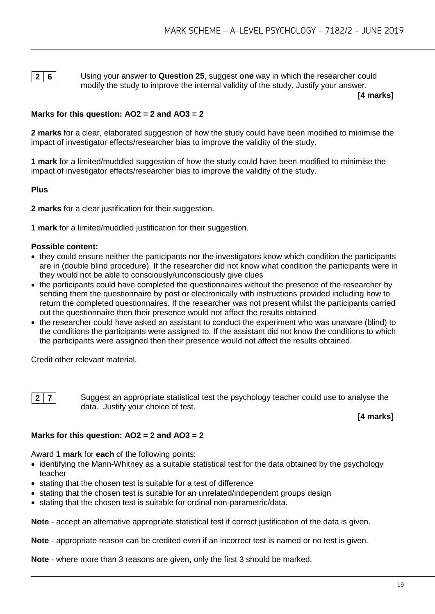**2 6** Using your answer to **Question 25**, suggest **one** way in which the researcher could modify the study to improve the internal validity of the study. Justify your answer.

**[4 marks]**

#### **Marks for this question: AO2 = 2 and AO3 = 2**

**2 marks** for a clear, elaborated suggestion of how the study could have been modified to minimise the impact of investigator effects/researcher bias to improve the validity of the study.

**1 mark** for a limited/muddled suggestion of how the study could have been modified to minimise the impact of investigator effects/researcher bias to improve the validity of the study.

#### **Plus**

**2 marks** for a clear justification for their suggestion.

**1 mark** for a limited/muddled justification for their suggestion.

#### **Possible content:**

- they could ensure neither the participants nor the investigators know which condition the participants are in (double blind procedure). If the researcher did not know what condition the participants were in they would not be able to consciously/unconsciously give clues
- the participants could have completed the questionnaires without the presence of the researcher by sending them the questionnaire by post or electronically with instructions provided including how to return the completed questionnaires. If the researcher was not present whilst the participants carried out the questionnaire then their presence would not affect the results obtained
- the researcher could have asked an assistant to conduct the experiment who was unaware (blind) to the conditions the participants were assigned to. If the assistant did not know the conditions to which the participants were assigned then their presence would not affect the results obtained.

Credit other relevant material.

**2 7** Suggest an appropriate statistical test the psychology teacher could use to analyse the data. Justify your choice of test.

**[4 marks]**

#### **Marks for this question: AO2 = 2 and AO3 = 2**

Award **1 mark** for **each** of the following points:

- identifying the Mann-Whitney as a suitable statistical test for the data obtained by the psychology teacher
- stating that the chosen test is suitable for a test of difference
- stating that the chosen test is suitable for an unrelated/independent groups design
- stating that the chosen test is suitable for ordinal non-parametric/data.

**Note** - accept an alternative appropriate statistical test if correct justification of the data is given.

**Note** - appropriate reason can be credited even if an incorrect test is named or no test is given.

**Note** - where more than 3 reasons are given, only the first 3 should be marked.